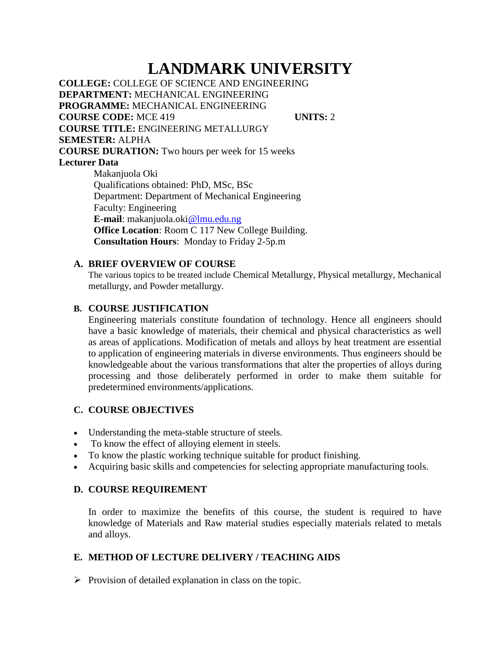# **LANDMARK UNIVERSITY**

**COLLEGE:** COLLEGE OF SCIENCE AND ENGINEERING **DEPARTMENT:** MECHANICAL ENGINEERING **PROGRAMME:** MECHANICAL ENGINEERING **COURSE CODE:** MCE 419 **UNITS:** 2 **COURSE TITLE:** ENGINEERING METALLURGY **SEMESTER:** ALPHA **COURSE DURATION:** Two hours per week for 15 weeks **Lecturer Data** Makanjuola Oki

Qualifications obtained: PhD, MSc, BSc Department: Department of Mechanical Engineering Faculty: Engineering **E-mail**: makanjuola.oki@lmu.edu.ng **Office Location**: Room C 117 New College Building. **Consultation Hours**: Monday to Friday 2-5p.m

## **A. BRIEF OVERVIEW OF COURSE**

The various topics to be treated include Chemical Metallurgy, Physical metallurgy, Mechanical metallurgy, and Powder metallurgy.

## **B. COURSE JUSTIFICATION**

Engineering materials constitute foundation of technology. Hence all engineers should have a basic knowledge of materials, their chemical and physical characteristics as well as areas of applications. Modification of metals and alloys by heat treatment are essential to application of engineering materials in diverse environments. Thus engineers should be knowledgeable about the various transformations that alter the properties of alloys during processing and those deliberately performed in order to make them suitable for predetermined environments/applications.

# **C. COURSE OBJECTIVES**

- Understanding the meta-stable structure of steels.
- To know the effect of alloying element in steels.
- To know the plastic working technique suitable for product finishing.
- Acquiring basic skills and competencies for selecting appropriate manufacturing tools.

## **D. COURSE REQUIREMENT**

In order to maximize the benefits of this course, the student is required to have knowledge of Materials and Raw material studies especially materials related to metals and alloys.

## **E. METHOD OF LECTURE DELIVERY / TEACHING AIDS**

 $\triangleright$  Provision of detailed explanation in class on the topic.